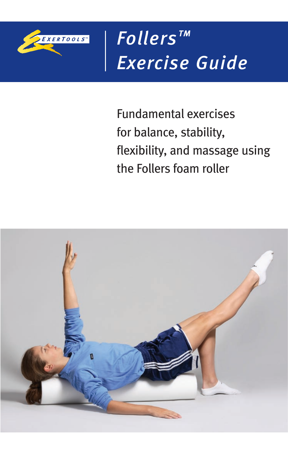

*Follers™ Exercise Guide*

Fundamental exercises for balance, stability, flexibility, and massage using the Follers foam roller

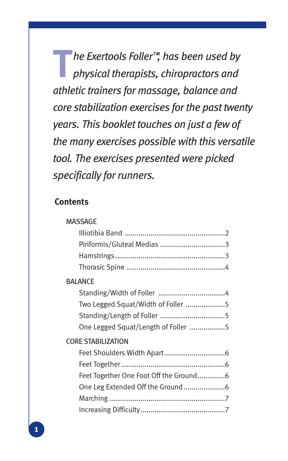**T***he Exertools Foller™, has been used by physical therapists, chiropractors and athletic trainers for massage, balance and core stabilization exercises for the past twenty years. This booklet touches on just a few of the many exercises possible with this versatile tool. The exercises presented were picked specifically for runners.*

#### **Contents**

#### Massage

| <b>BALANCE</b><br>Two Legged Squat/Width of Foller 5<br>One Legged Squat/Length of Foller 5 |  |  |
|---------------------------------------------------------------------------------------------|--|--|
|                                                                                             |  |  |
|                                                                                             |  |  |
|                                                                                             |  |  |
|                                                                                             |  |  |
| <b>CORE STABILIZATION</b>                                                                   |  |  |
|                                                                                             |  |  |
|                                                                                             |  |  |
| Feet Together One Foot Off the Ground6                                                      |  |  |
| One Leg Extended Off the Ground 6                                                           |  |  |
|                                                                                             |  |  |
|                                                                                             |  |  |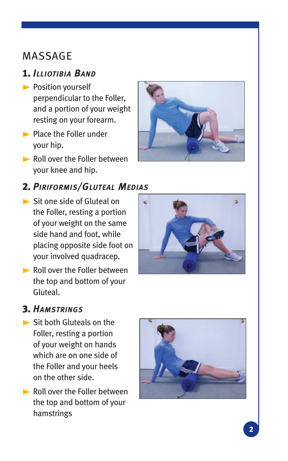## Massage

## 1. ILLIOTIBIA BAND

- **Position yourself** perpendicular to the Foller, and a portion of your weight resting on your forearm.
- **Place the Foller under** your hip.
- Roll over the Foller between your knee and hip.

#### 2. *P r iform s/Gluteal Med ias i i*

- Sit one side of Gluteal on the Foller, resting a portion of your weight on the same side hand and foot, while placing opposite side foot on your involved quadracep.
- Roll over the Foller between the top and bottom of your Gluteal.





#### 3. HAMSTRINGS *i g*

- Sit both Gluteals on the Foller, resting a portion of your weight on hands which are on one side of the Foller and your heels on the other side.
- Roll over the Foller between the top and bottom of your hamstrings

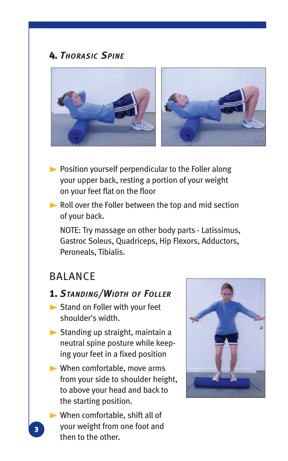## 4. *Thorasic Spine*



- $\blacktriangleright$  Position yourself perpendicular to the Foller along your upper back, resting a portion of your weight on your feet flat on the floor
- Roll over the Foller between the top and mid section of your back.

 NOTE: Try massage on other body parts - Latissimus, Gastroc Soleus, Quadriceps, Hip Flexors, Adductors, Peroneals, Tibialis.

## **BALANCE**

#### 1. *Standing/Width of Foller*

- Stand on Foller with your feet shoulder's width.
- Standing up straight, maintain a neutral spine posture while keeping your feet in a fixed position
- When comfortable, move arms from your side to shoulder height, to above your head and back to the starting position.
- When comfortable, shift all of your weight from one foot and then to the other.

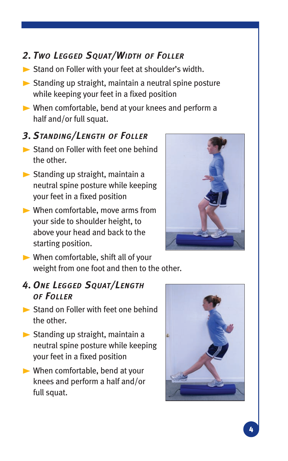## *2. Two Legged Squat/Width of Foller*

- Stand on Foller with your feet at shoulder's width.
- $\triangleright$  Standing up straight, maintain a neutral spine posture while keeping your feet in a fixed position
- When comfortable, bend at your knees and perform a half and/or full squat.

## *3. Standing/Length of Foller*

- Stand on Foller with feet one behind the other.
- Standing up straight, maintain a neutral spine posture while keeping your feet in a fixed position
- When comfortable, move arms from your side to shoulder height, to above your head and back to the starting position.



When comfortable, shift all of your weight from one foot and then to the other.

### *4. One Legged Squat/Length of Foller*

- Stand on Foller with feet one behind the other.
- Standing up straight, maintain a neutral spine posture while keeping your feet in a fixed position
- When comfortable, bend at your knees and perform a half and/or full squat.

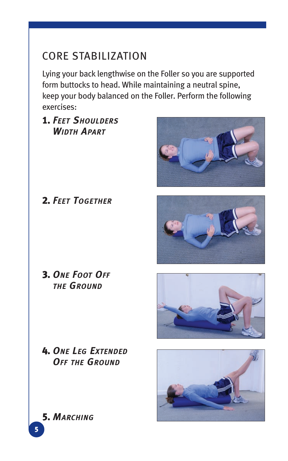# Core Stabilization

Lying your back lengthwise on the Foller so you are supported form buttocks to head. While maintaining a neutral spine, keep your body balanced on the Foller. Perform the following exercises:

## 1. *Feet Shoulders Width Apart*



2. *Feet Together*







4. *One Leg Extended Off the Ground*

5. *Marching*

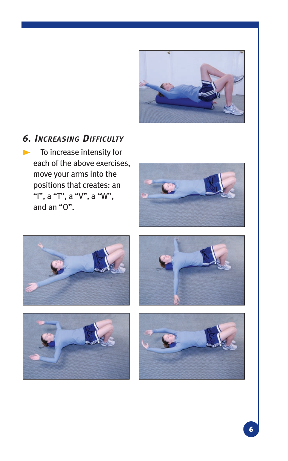

#### *6. Increasing Difficulty*

To increase intensity for each of the above exercises, move your arms into the positions that creates: an "I", a "T", a "V", a "W", and an "O".